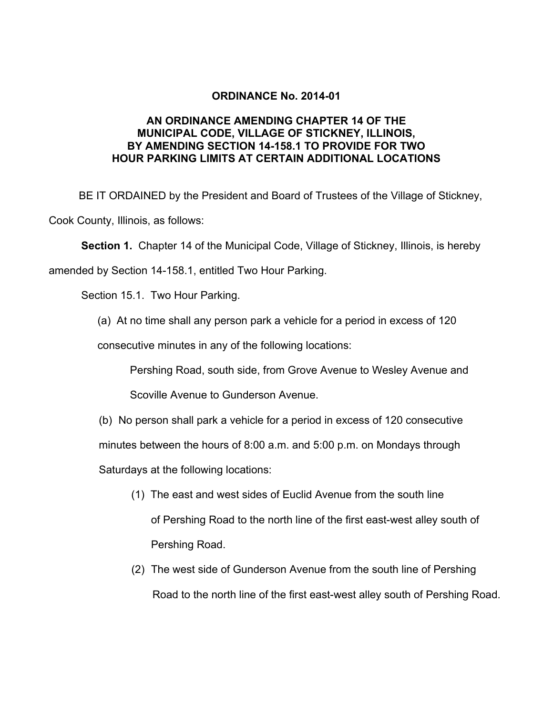## **ORDINANCE No. 2014-01**

## **AN ORDINANCE AMENDING CHAPTER 14 OF THE MUNICIPAL CODE, VILLAGE OF STICKNEY, ILLINOIS, BY AMENDING SECTION 14-158.1 TO PROVIDE FOR TWO HOUR PARKING LIMITS AT CERTAIN ADDITIONAL LOCATIONS**

 BE IT ORDAINED by the President and Board of Trustees of the Village of Stickney, Cook County, Illinois, as follows:

**Section 1.** Chapter 14 of the Municipal Code, Village of Stickney, Illinois, is hereby

amended by Section 14-158.1, entitled Two Hour Parking.

Section 15.1. Two Hour Parking.

(a) At no time shall any person park a vehicle for a period in excess of 120

consecutive minutes in any of the following locations:

Pershing Road, south side, from Grove Avenue to Wesley Avenue and

Scoville Avenue to Gunderson Avenue.

(b) No person shall park a vehicle for a period in excess of 120 consecutive

minutes between the hours of 8:00 a.m. and 5:00 p.m. on Mondays through

Saturdays at the following locations:

- (1) The east and west sides of Euclid Avenue from the south line of Pershing Road to the north line of the first east-west alley south of Pershing Road.
- (2) The west side of Gunderson Avenue from the south line of Pershing Road to the north line of the first east-west alley south of Pershing Road.